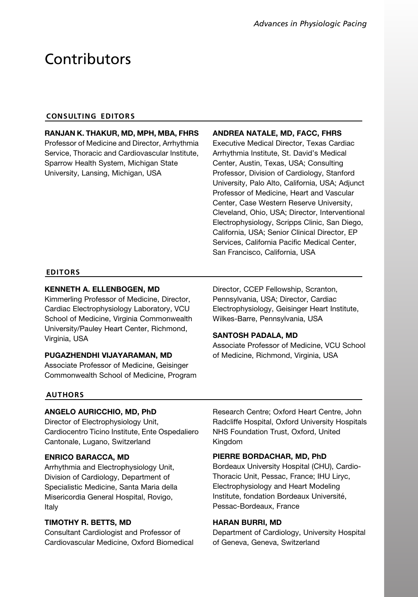# Contributors

# CONSULTING EDITORS

# RANJAN K. THAKUR, MD, MPH, MBA, FHRS

Professor of Medicine and Director, Arrhythmia Service, Thoracic and Cardiovascular Institute, Sparrow Health System, Michigan State University, Lansing, Michigan, USA

## ANDREA NATALE, MD, FACC, FHRS

Executive Medical Director, Texas Cardiac Arrhythmia Institute, St. David's Medical Center, Austin, Texas, USA; Consulting Professor, Division of Cardiology, Stanford University, Palo Alto, California, USA; Adjunct Professor of Medicine, Heart and Vascular Center, Case Western Reserve University, Cleveland, Ohio, USA; Director, Interventional Electrophysiology, Scripps Clinic, San Diego, California, USA; Senior Clinical Director, EP Services, California Pacific Medical Center, San Francisco, California, USA

#### EDITORS

## KENNETH A. ELLENBOGEN, MD

Kimmerling Professor of Medicine, Director, Cardiac Electrophysiology Laboratory, VCU School of Medicine, Virginia Commonwealth University/Pauley Heart Center, Richmond, Virginia, USA

## PUGAZHENDHI VIJAYARAMAN, MD

Associate Professor of Medicine, Geisinger Commonwealth School of Medicine, Program

Director, CCEP Fellowship, Scranton, Pennsylvania, USA; Director, Cardiac Electrophysiology, Geisinger Heart Institute, Wilkes-Barre, Pennsylvania, USA

#### SANTOSH PADALA, MD

Associate Professor of Medicine, VCU School of Medicine, Richmond, Virginia, USA

## AUTHORS

## ANGELO AURICCHIO, MD, PhD

Director of Electrophysiology Unit, Cardiocentro Ticino Institute, Ente Ospedaliero Cantonale, Lugano, Switzerland

## ENRICO BARACCA, MD

Arrhythmia and Electrophysiology Unit, Division of Cardiology, Department of Specialistic Medicine, Santa Maria della Misericordia General Hospital, Rovigo, Italy

## TIMOTHY R. BETTS, MD

Consultant Cardiologist and Professor of Cardiovascular Medicine, Oxford Biomedical Research Centre; Oxford Heart Centre, John Radcliffe Hospital, Oxford University Hospitals NHS Foundation Trust, Oxford, United Kingdom

#### PIERRE BORDACHAR, MD, PhD

Bordeaux University Hospital (CHU), Cardio-Thoracic Unit, Pessac, France; IHU Liryc, Electrophysiology and Heart Modeling Institute, fondation Bordeaux Université, Pessac-Bordeaux, France

#### HARAN BURRI, MD

Department of Cardiology, University Hospital of Geneva, Geneva, Switzerland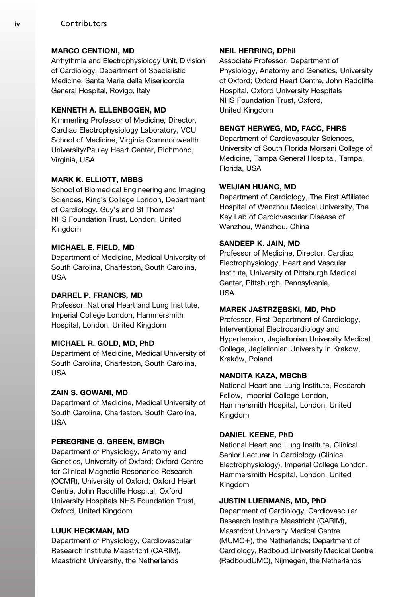#### iv Contributors

#### MARCO CENTIONI, MD

Arrhythmia and Electrophysiology Unit, Division of Cardiology, Department of Specialistic Medicine, Santa Maria della Misericordia General Hospital, Rovigo, Italy

### KENNETH A. ELLENBOGEN, MD

Kimmerling Professor of Medicine, Director, Cardiac Electrophysiology Laboratory, VCU School of Medicine, Virginia Commonwealth University/Pauley Heart Center, Richmond, Virginia, USA

#### MARK K. ELLIOTT, MBBS

School of Biomedical Engineering and Imaging Sciences, King's College London, Department of Cardiology, Guy's and St Thomas' NHS Foundation Trust, London, United Kingdom

## MICHAEL E. FIELD, MD

Department of Medicine, Medical University of South Carolina, Charleston, South Carolina, USA

#### DARREL P. FRANCIS, MD

Professor, National Heart and Lung Institute, Imperial College London, Hammersmith Hospital, London, United Kingdom

## MICHAEL R. GOLD, MD, PhD

Department of Medicine, Medical University of South Carolina, Charleston, South Carolina, USA

#### ZAIN S. GOWANI, MD

Department of Medicine, Medical University of South Carolina, Charleston, South Carolina, USA

## PEREGRINE G. GREEN, BMBCh

Department of Physiology, Anatomy and Genetics, University of Oxford; Oxford Centre for Clinical Magnetic Resonance Research (OCMR), University of Oxford; Oxford Heart Centre, John Radcliffe Hospital, Oxford University Hospitals NHS Foundation Trust, Oxford, United Kingdom

## LUUK HECKMAN, MD

Department of Physiology, Cardiovascular Research Institute Maastricht (CARIM), Maastricht University, the Netherlands

#### NEIL HERRING, DPhil

Associate Professor, Department of Physiology, Anatomy and Genetics, University of Oxford; Oxford Heart Centre, John Radcliffe Hospital, Oxford University Hospitals NHS Foundation Trust, Oxford, United Kingdom

## BENGT HERWEG, MD, FACC, FHRS

Department of Cardiovascular Sciences, University of South Florida Morsani College of Medicine, Tampa General Hospital, Tampa, Florida, USA

#### WEIJIAN HUANG, MD

Department of Cardiology, The First Affiliated Hospital of Wenzhou Medical University, The Key Lab of Cardiovascular Disease of Wenzhou, Wenzhou, China

## SANDEEP K. JAIN, MD

Professor of Medicine, Director, Cardiac Electrophysiology, Heart and Vascular Institute, University of Pittsburgh Medical Center, Pittsburgh, Pennsylvania, USA

#### MAREK JASTRZEBSKI, MD, PhD

Professor, First Department of Cardiology, Interventional Electrocardiology and Hypertension, Jagiellonian University Medical College, Jagiellonian University in Krakow, Kraków, Poland

## NANDITA KAZA, MBChB

National Heart and Lung Institute, Research Fellow, Imperial College London, Hammersmith Hospital, London, United Kingdom

#### DANIEL KEENE, PhD

National Heart and Lung Institute, Clinical Senior Lecturer in Cardiology (Clinical Electrophysiology), Imperial College London, Hammersmith Hospital, London, United Kingdom

## JUSTIN LUERMANS, MD, PhD

Department of Cardiology, Cardiovascular Research Institute Maastricht (CARIM), Maastricht University Medical Centre (MUMC+), the Netherlands; Department of Cardiology, Radboud University Medical Centre (RadboudUMC), Nijmegen, the Netherlands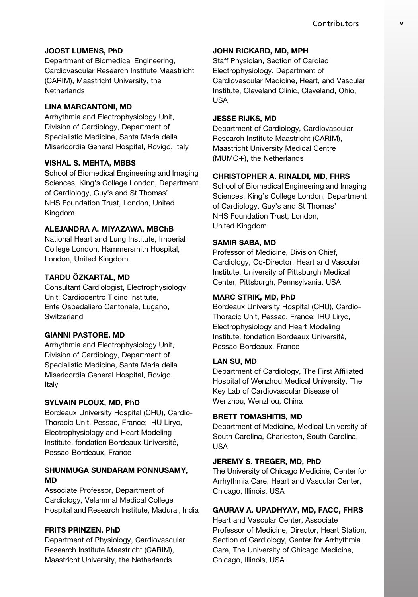# JOOST LUMENS, PhD

Department of Biomedical Engineering, Cardiovascular Research Institute Maastricht (CARIM), Maastricht University, the **Netherlands** 

## LINA MARCANTONI, MD

Arrhythmia and Electrophysiology Unit, Division of Cardiology, Department of Specialistic Medicine, Santa Maria della Misericordia General Hospital, Rovigo, Italy

# VISHAL S. MEHTA, MBBS

School of Biomedical Engineering and Imaging Sciences, King's College London, Department of Cardiology, Guy's and St Thomas' NHS Foundation Trust, London, United Kingdom

# ALEJANDRA A. MIYAZAWA, MBChB

National Heart and Lung Institute, Imperial College London, Hammersmith Hospital, London, United Kingdom

# TARDU ÖZKARTAL, MD

Consultant Cardiologist, Electrophysiology Unit, Cardiocentro Ticino Institute, Ente Ospedaliero Cantonale, Lugano, **Switzerland** 

# GIANNI PASTORE, MD

Arrhythmia and Electrophysiology Unit, Division of Cardiology, Department of Specialistic Medicine, Santa Maria della Misericordia General Hospital, Rovigo, Italy

# SYLVAIN PLOUX, MD, PhD

Bordeaux University Hospital (CHU), Cardio-Thoracic Unit, Pessac, France; IHU Liryc, Electrophysiology and Heart Modeling Institute, fondation Bordeaux Université, Pessac-Bordeaux, France

# SHUNMUGA SUNDARAM PONNUSAMY, MD

Associate Professor, Department of Cardiology, Velammal Medical College Hospital and Research Institute, Madurai, India

# FRITS PRINZEN, PhD

Department of Physiology, Cardiovascular Research Institute Maastricht (CARIM), Maastricht University, the Netherlands

# JOHN RICKARD, MD, MPH

Staff Physician, Section of Cardiac Electrophysiology, Department of Cardiovascular Medicine, Heart, and Vascular Institute, Cleveland Clinic, Cleveland, Ohio, USA

# JESSE RIJKS, MD

Department of Cardiology, Cardiovascular Research Institute Maastricht (CARIM), Maastricht University Medical Centre  $(MUMC+)$ , the Netherlands

# CHRISTOPHER A. RINALDI, MD, FHRS

School of Biomedical Engineering and Imaging Sciences, King's College London, Department of Cardiology, Guy's and St Thomas' NHS Foundation Trust, London, United Kingdom

# SAMIR SABA, MD

Professor of Medicine, Division Chief, Cardiology, Co-Director, Heart and Vascular Institute, University of Pittsburgh Medical Center, Pittsburgh, Pennsylvania, USA

# MARC STRIK, MD, PhD

Bordeaux University Hospital (CHU), Cardio-Thoracic Unit, Pessac, France; IHU Liryc, Electrophysiology and Heart Modeling Institute, fondation Bordeaux Université, Pessac-Bordeaux, France

# LAN SU, MD

Department of Cardiology, The First Affiliated Hospital of Wenzhou Medical University, The Key Lab of Cardiovascular Disease of Wenzhou, Wenzhou, China

# BRETT TOMASHITIS, MD

Department of Medicine, Medical University of South Carolina, Charleston, South Carolina, USA

# JEREMY S. TREGER, MD, PhD

The University of Chicago Medicine, Center for Arrhythmia Care, Heart and Vascular Center, Chicago, Illinois, USA

# GAURAV A. UPADHYAY, MD, FACC, FHRS

Heart and Vascular Center, Associate Professor of Medicine, Director, Heart Station, Section of Cardiology, Center for Arrhythmia Care, The University of Chicago Medicine, Chicago, Illinois, USA